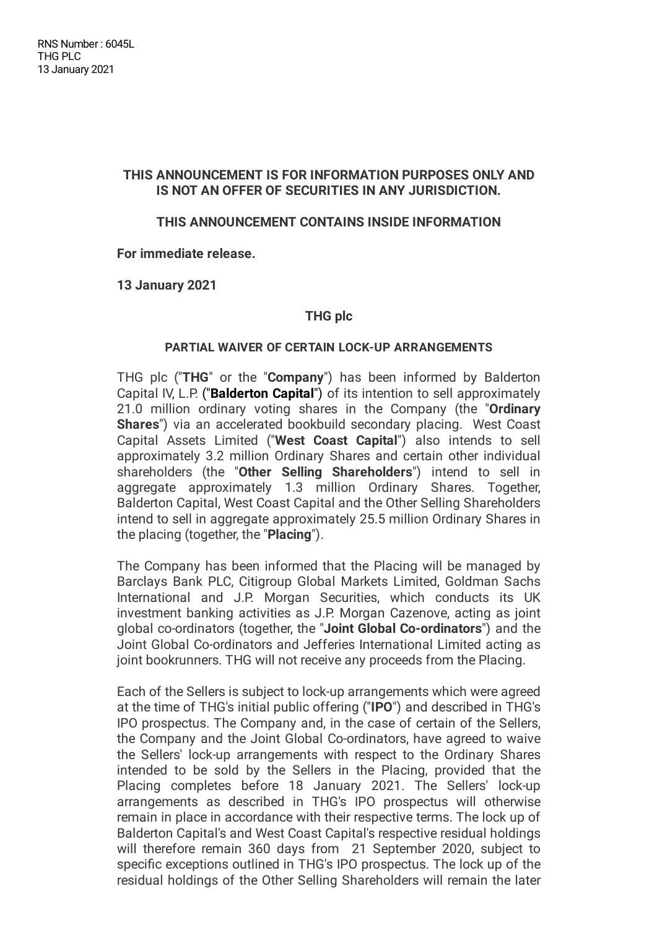# **THIS ANNOUNCEMENT IS FOR INFORMATION PURPOSES ONLY AND IS NOT AN OFFER OF SECURITIES IN ANY JURISDICTION.**

# **THIS ANNOUNCEMENT CONTAINS INSIDE INFORMATION**

**For immediate release.**

**13 January 2021**

## **THG plc**

#### **PARTIAL WAIVER OF CERTAIN LOCK-UP ARRANGEMENTS**

THG plc ("**THG**" or the "**Company**") has been informed by Balderton Capital IV, L.P. ("**Balderton Capital**") of its intention to sell approximately 21.0 million ordinary voting shares in the Company (the "**Ordinary Shares**") via an accelerated bookbuild secondary placing. West Coast Capital Assets Limited ("**West Coast Capital**") also intends to sell approximately 3.2 million Ordinary Shares and certain other individual shareholders (the "**Other Selling Shareholders**") intend to sell in aggregate approximately 1.3 million Ordinary Shares. Together, Balderton Capital, West Coast Capital and the Other Selling Shareholders intend to sell in aggregate approximately 25.5 million Ordinary Shares in the placing (together, the "**Placing**").

The Company has been informed that the Placing will be managed by Barclays Bank PLC, Citigroup Global Markets Limited, Goldman Sachs International and J.P. Morgan Securities, which conducts its UK investment banking activities as J.P. Morgan Cazenove, acting as joint global co-ordinators (together, the "**Joint Global Co-ordinators**") and the Joint Global Co-ordinators and Jefferies International Limited acting as joint bookrunners. THG will not receive any proceeds from the Placing.

Each of the Sellers is subject to lock-up arrangements which were agreed at the time of THG's initial public offering ("**IPO**") and described in THG's IPO prospectus. The Company and, in the case of certain of the Sellers, the Company and the Joint Global Co-ordinators, have agreed to waive the Sellers' lock-up arrangements with respect to the Ordinary Shares intended to be sold by the Sellers in the Placing, provided that the Placing completes before 18 January 2021. The Sellers' lock-up arrangements as described in THG's IPO prospectus will otherwise remain in place in accordance with their respective terms. The lock up of Balderton Capital's and West Coast Capital's respective residual holdings will therefore remain 360 days from 21 September 2020, subject to specific exceptions outlined in THG's IPO prospectus. The lock up of the residual holdings of the Other Selling Shareholders will remain the later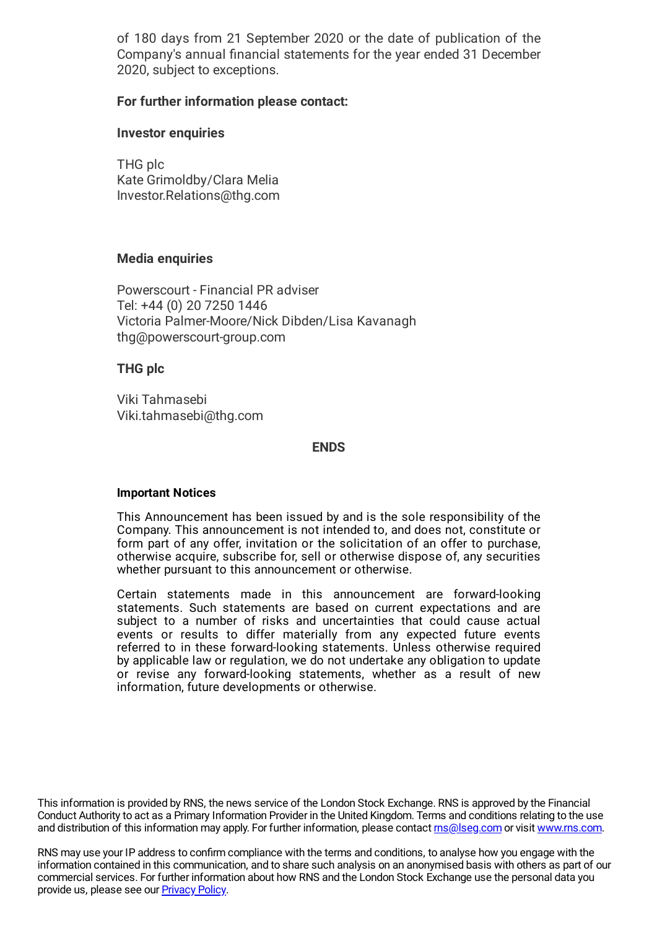of 180 days from 21 September 2020 or the date of publication of the Company's annual financial statements for the year ended 31 December 2020, subject to exceptions.

# **For further information please contact:**

## **Investor enquiries**

THG plc Kate Grimoldby/Clara Melia Investor.Relations@thg.com

## **Media enquiries**

Powerscourt - Financial PR adviser Tel: +44 (0) 20 7250 1446 Victoria Palmer-Moore/Nick Dibden/Lisa Kavanagh thg@powerscourt-group.com

## **THG plc**

Viki Tahmasebi Viki.tahmasebi@thg.com

#### **ENDS**

#### **Important Notices**

This Announcement has been issued by and is the sole responsibility of the Company. This announcement is not intended to, and does not, constitute or form part of any offer, invitation or the solicitation of an offer to purchase, otherwise acquire, subscribe for, sell or otherwise dispose of, any securities whether pursuant to this announcement or otherwise.

Certain statements made in this announcement are forward-looking statements. Such statements are based on current expectations and are subject to a number of risks and uncertainties that could cause actual events or results to differ materially from any expected future events referred to in these forward-looking statements. Unless otherwise required by applicable law or regulation, we do not undertake any obligation to update or revise any forward-looking statements, whether as a result of new information, future developments or otherwise.

This information is provided by RNS, the news service of the London Stock Exchange. RNS is approved by the Financial Conduct Authority to act as a Primary Information Provider in the United Kingdom. Terms and conditions relating to the use and distribution of this information may apply. For further information, please contact *[rns@lseg.com](mailto:rns@lseg.com)* or visit [www.rns.com.](http://www.rns.com/)

RNS may use your IP address to confirm compliance with the terms and conditions, to analyse how you engage with the information contained in this communication, and to share such analysis on an anonymised basis with others as part of our commercial services. For further information about how RNS and the London Stock Exchange use the personal data you provide us, please see our [Privacy](https://www.lseg.com/privacy-and-cookie-policy) Policy.